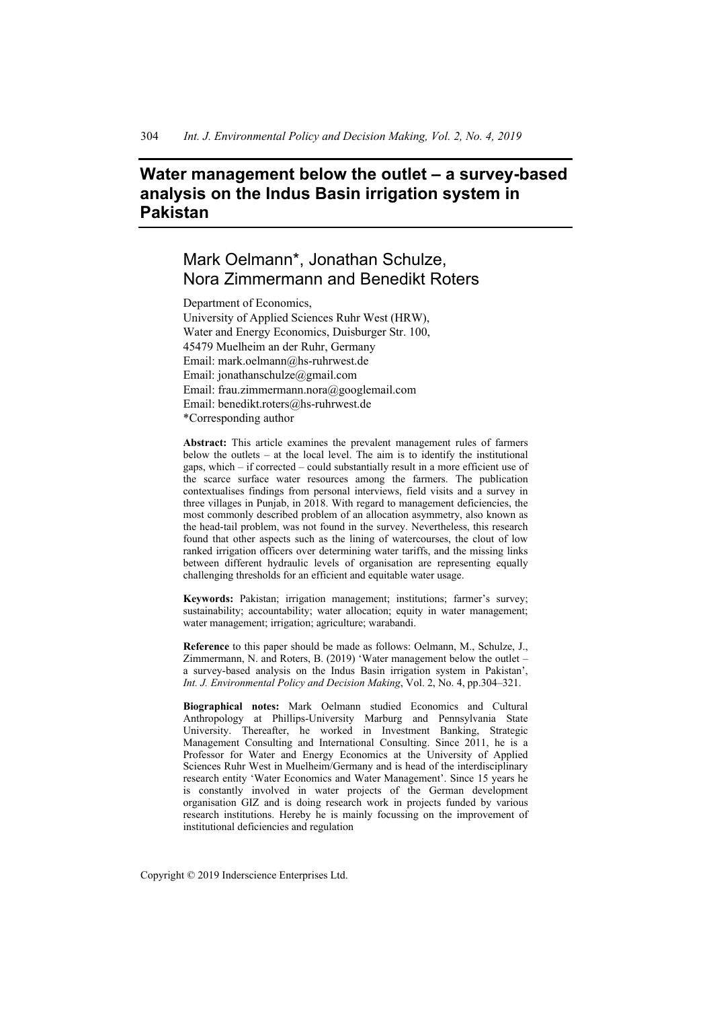# **Water management below the outlet – a survey-based analysis on the Indus Basin irrigation system in Pakistan**

# Mark Oelmann\*, Jonathan Schulze, Nora Zimmermann and Benedikt Roters

Department of Economics, University of Applied Sciences Ruhr West (HRW), Water and Energy Economics, Duisburger Str. 100, 45479 Muelheim an der Ruhr, Germany Email: mark.oelmann@hs-ruhrwest.de Email: jonathanschulze@gmail.com Email: frau.zimmermann.nora@googlemail.com Email: benedikt.roters@hs-ruhrwest.de \*Corresponding author

**Abstract:** This article examines the prevalent management rules of farmers below the outlets – at the local level. The aim is to identify the institutional gaps, which – if corrected – could substantially result in a more efficient use of the scarce surface water resources among the farmers. The publication contextualises findings from personal interviews, field visits and a survey in three villages in Punjab, in 2018. With regard to management deficiencies, the most commonly described problem of an allocation asymmetry, also known as the head-tail problem, was not found in the survey. Nevertheless, this research found that other aspects such as the lining of watercourses, the clout of low ranked irrigation officers over determining water tariffs, and the missing links between different hydraulic levels of organisation are representing equally challenging thresholds for an efficient and equitable water usage.

**Keywords:** Pakistan; irrigation management; institutions; farmer's survey; sustainability; accountability; water allocation; equity in water management; water management; irrigation; agriculture; warabandi.

**Reference** to this paper should be made as follows: Oelmann, M., Schulze, J., Zimmermann, N. and Roters, B. (2019) 'Water management below the outlet – a survey-based analysis on the Indus Basin irrigation system in Pakistan', *Int. J. Environmental Policy and Decision Making*, Vol. 2, No. 4, pp.304–321.

**Biographical notes:** Mark Oelmann studied Economics and Cultural Anthropology at Phillips-University Marburg and Pennsylvania State University. Thereafter, he worked in Investment Banking, Strategic Management Consulting and International Consulting. Since 2011, he is a Professor for Water and Energy Economics at the University of Applied Sciences Ruhr West in Muelheim/Germany and is head of the interdisciplinary research entity 'Water Economics and Water Management'. Since 15 years he is constantly involved in water projects of the German development organisation GIZ and is doing research work in projects funded by various research institutions. Hereby he is mainly focussing on the improvement of institutional deficiencies and regulation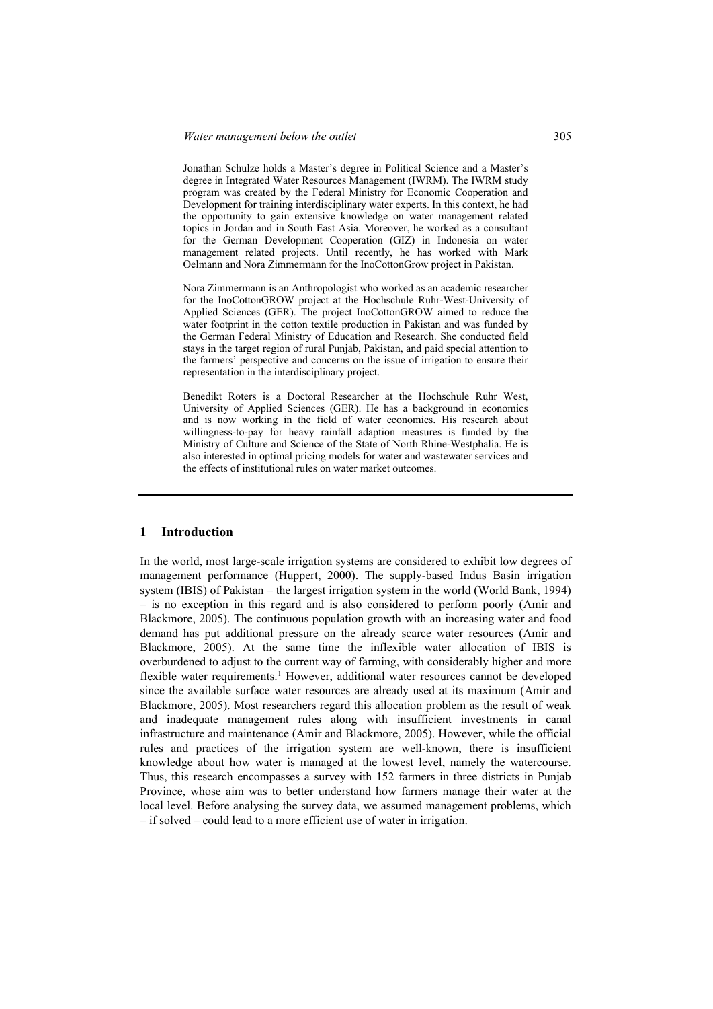Jonathan Schulze holds a Master's degree in Political Science and a Master's degree in Integrated Water Resources Management (IWRM). The IWRM study program was created by the Federal Ministry for Economic Cooperation and Development for training interdisciplinary water experts. In this context, he had the opportunity to gain extensive knowledge on water management related topics in Jordan and in South East Asia. Moreover, he worked as a consultant for the German Development Cooperation (GIZ) in Indonesia on water management related projects. Until recently, he has worked with Mark Oelmann and Nora Zimmermann for the InoCottonGrow project in Pakistan.

Nora Zimmermann is an Anthropologist who worked as an academic researcher for the InoCottonGROW project at the Hochschule Ruhr-West-University of Applied Sciences (GER). The project InoCottonGROW aimed to reduce the water footprint in the cotton textile production in Pakistan and was funded by the German Federal Ministry of Education and Research. She conducted field stays in the target region of rural Punjab, Pakistan, and paid special attention to the farmers' perspective and concerns on the issue of irrigation to ensure their representation in the interdisciplinary project.

Benedikt Roters is a Doctoral Researcher at the Hochschule Ruhr West, University of Applied Sciences (GER). He has a background in economics and is now working in the field of water economics. His research about willingness-to-pay for heavy rainfall adaption measures is funded by the Ministry of Culture and Science of the State of North Rhine-Westphalia. He is also interested in optimal pricing models for water and wastewater services and the effects of institutional rules on water market outcomes.

# **1 Introduction**

In the world, most large-scale irrigation systems are considered to exhibit low degrees of management performance (Huppert, 2000). The supply-based Indus Basin irrigation system (IBIS) of Pakistan – the largest irrigation system in the world (World Bank, 1994) – is no exception in this regard and is also considered to perform poorly (Amir and Blackmore, 2005). The continuous population growth with an increasing water and food demand has put additional pressure on the already scarce water resources (Amir and Blackmore, 2005). At the same time the inflexible water allocation of IBIS is overburdened to adjust to the current way of farming, with considerably higher and more flexible water requirements.1 However, additional water resources cannot be developed since the available surface water resources are already used at its maximum (Amir and Blackmore, 2005). Most researchers regard this allocation problem as the result of weak and inadequate management rules along with insufficient investments in canal infrastructure and maintenance (Amir and Blackmore, 2005). However, while the official rules and practices of the irrigation system are well-known, there is insufficient knowledge about how water is managed at the lowest level, namely the watercourse. Thus, this research encompasses a survey with 152 farmers in three districts in Punjab Province, whose aim was to better understand how farmers manage their water at the local level. Before analysing the survey data, we assumed management problems, which – if solved – could lead to a more efficient use of water in irrigation.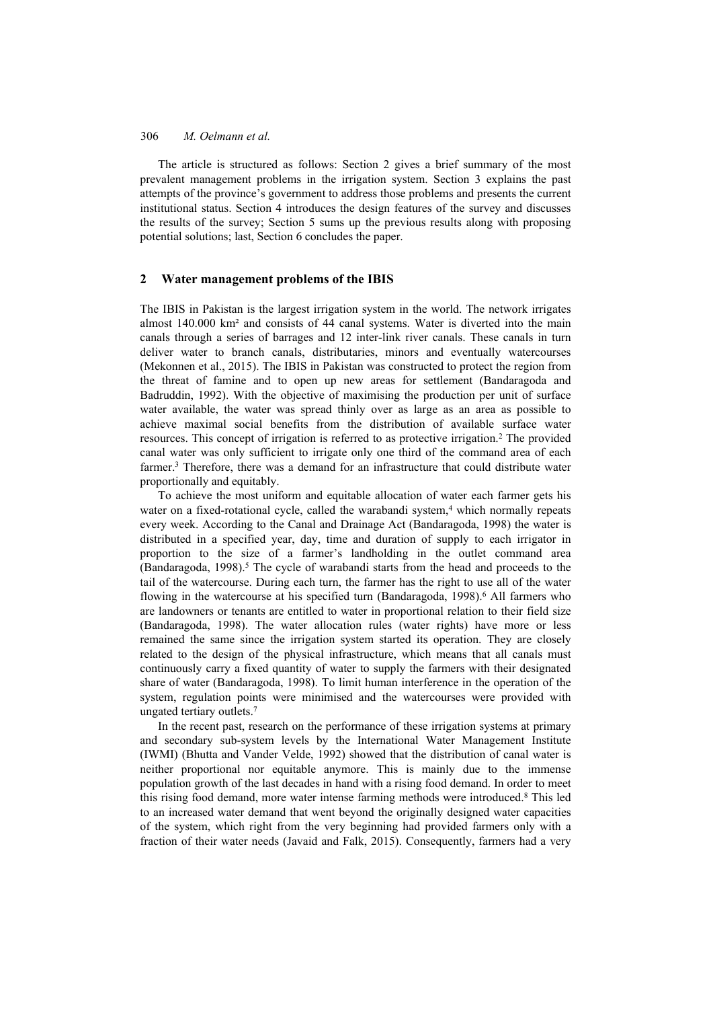The article is structured as follows: Section 2 gives a brief summary of the most prevalent management problems in the irrigation system. Section 3 explains the past attempts of the province's government to address those problems and presents the current institutional status. Section 4 introduces the design features of the survey and discusses the results of the survey; Section 5 sums up the previous results along with proposing potential solutions; last, Section 6 concludes the paper.

# **2 Water management problems of the IBIS**

The IBIS in Pakistan is the largest irrigation system in the world. The network irrigates almost 140.000 km² and consists of 44 canal systems. Water is diverted into the main canals through a series of barrages and 12 inter-link river canals. These canals in turn deliver water to branch canals, distributaries, minors and eventually watercourses (Mekonnen et al., 2015). The IBIS in Pakistan was constructed to protect the region from the threat of famine and to open up new areas for settlement (Bandaragoda and Badruddin, 1992). With the objective of maximising the production per unit of surface water available, the water was spread thinly over as large as an area as possible to achieve maximal social benefits from the distribution of available surface water resources. This concept of irrigation is referred to as protective irrigation.2 The provided canal water was only sufficient to irrigate only one third of the command area of each farmer.3 Therefore, there was a demand for an infrastructure that could distribute water proportionally and equitably.

To achieve the most uniform and equitable allocation of water each farmer gets his water on a fixed-rotational cycle, called the warabandi system,<sup>4</sup> which normally repeats every week. According to the Canal and Drainage Act (Bandaragoda, 1998) the water is distributed in a specified year, day, time and duration of supply to each irrigator in proportion to the size of a farmer's landholding in the outlet command area (Bandaragoda,  $1998$ ).<sup>5</sup> The cycle of warabandi starts from the head and proceeds to the tail of the watercourse. During each turn, the farmer has the right to use all of the water flowing in the watercourse at his specified turn (Bandaragoda, 1998).<sup>6</sup> All farmers who are landowners or tenants are entitled to water in proportional relation to their field size (Bandaragoda, 1998). The water allocation rules (water rights) have more or less remained the same since the irrigation system started its operation. They are closely related to the design of the physical infrastructure, which means that all canals must continuously carry a fixed quantity of water to supply the farmers with their designated share of water (Bandaragoda, 1998). To limit human interference in the operation of the system, regulation points were minimised and the watercourses were provided with ungated tertiary outlets.7

In the recent past, research on the performance of these irrigation systems at primary and secondary sub-system levels by the International Water Management Institute (IWMI) (Bhutta and Vander Velde, 1992) showed that the distribution of canal water is neither proportional nor equitable anymore. This is mainly due to the immense population growth of the last decades in hand with a rising food demand. In order to meet this rising food demand, more water intense farming methods were introduced.8 This led to an increased water demand that went beyond the originally designed water capacities of the system, which right from the very beginning had provided farmers only with a fraction of their water needs (Javaid and Falk, 2015). Consequently, farmers had a very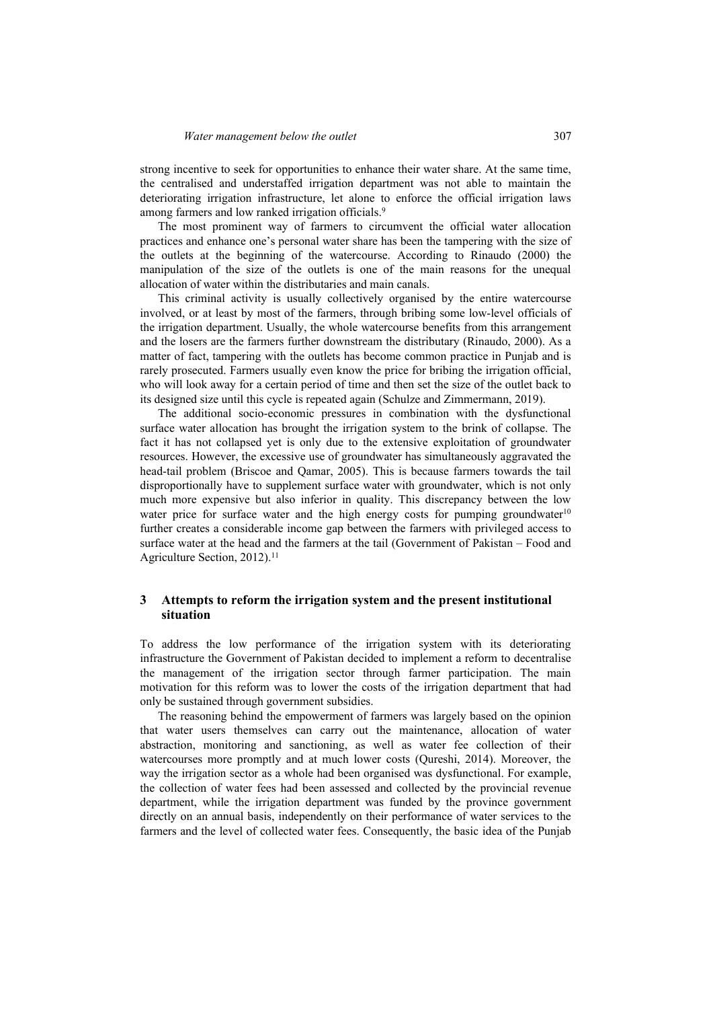strong incentive to seek for opportunities to enhance their water share. At the same time, the centralised and understaffed irrigation department was not able to maintain the deteriorating irrigation infrastructure, let alone to enforce the official irrigation laws among farmers and low ranked irrigation officials.9

The most prominent way of farmers to circumvent the official water allocation practices and enhance one's personal water share has been the tampering with the size of the outlets at the beginning of the watercourse. According to Rinaudo (2000) the manipulation of the size of the outlets is one of the main reasons for the unequal allocation of water within the distributaries and main canals.

This criminal activity is usually collectively organised by the entire watercourse involved, or at least by most of the farmers, through bribing some low-level officials of the irrigation department. Usually, the whole watercourse benefits from this arrangement and the losers are the farmers further downstream the distributary (Rinaudo, 2000). As a matter of fact, tampering with the outlets has become common practice in Punjab and is rarely prosecuted. Farmers usually even know the price for bribing the irrigation official, who will look away for a certain period of time and then set the size of the outlet back to its designed size until this cycle is repeated again (Schulze and Zimmermann, 2019).

The additional socio-economic pressures in combination with the dysfunctional surface water allocation has brought the irrigation system to the brink of collapse. The fact it has not collapsed yet is only due to the extensive exploitation of groundwater resources. However, the excessive use of groundwater has simultaneously aggravated the head-tail problem (Briscoe and Qamar, 2005). This is because farmers towards the tail disproportionally have to supplement surface water with groundwater, which is not only much more expensive but also inferior in quality. This discrepancy between the low water price for surface water and the high energy costs for pumping groundwater $10$ further creates a considerable income gap between the farmers with privileged access to surface water at the head and the farmers at the tail (Government of Pakistan – Food and Agriculture Section, 2012).<sup>11</sup>

## **3 Attempts to reform the irrigation system and the present institutional situation**

To address the low performance of the irrigation system with its deteriorating infrastructure the Government of Pakistan decided to implement a reform to decentralise the management of the irrigation sector through farmer participation. The main motivation for this reform was to lower the costs of the irrigation department that had only be sustained through government subsidies.

The reasoning behind the empowerment of farmers was largely based on the opinion that water users themselves can carry out the maintenance, allocation of water abstraction, monitoring and sanctioning, as well as water fee collection of their watercourses more promptly and at much lower costs (Qureshi, 2014). Moreover, the way the irrigation sector as a whole had been organised was dysfunctional. For example, the collection of water fees had been assessed and collected by the provincial revenue department, while the irrigation department was funded by the province government directly on an annual basis, independently on their performance of water services to the farmers and the level of collected water fees. Consequently, the basic idea of the Punjab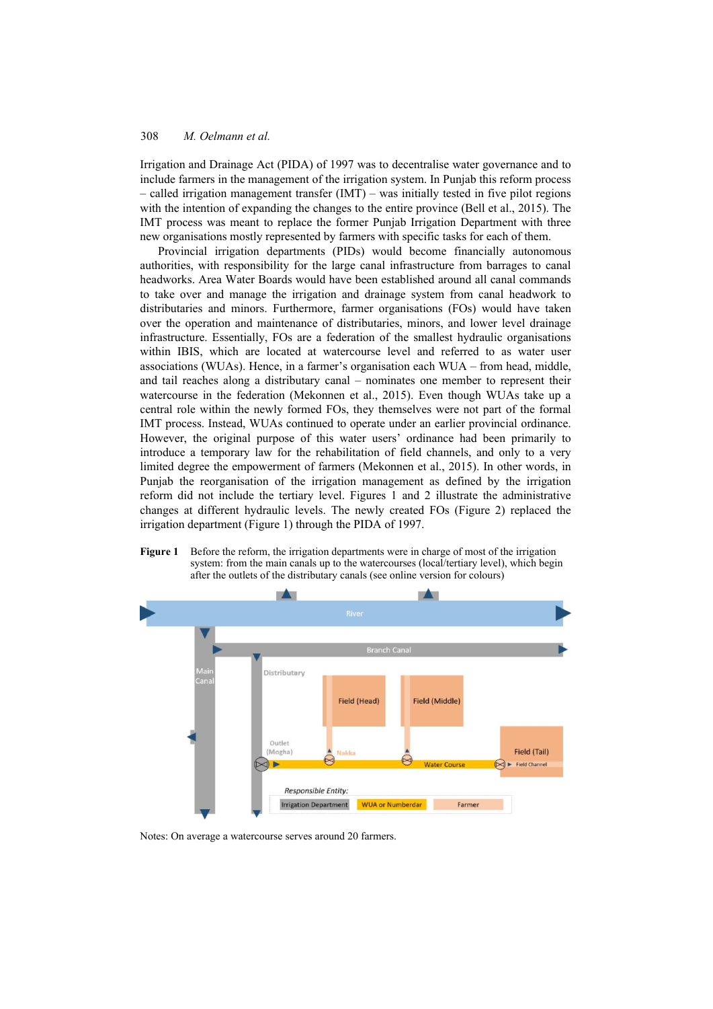Irrigation and Drainage Act (PIDA) of 1997 was to decentralise water governance and to include farmers in the management of the irrigation system. In Punjab this reform process – called irrigation management transfer (IMT) – was initially tested in five pilot regions with the intention of expanding the changes to the entire province (Bell et al., 2015). The IMT process was meant to replace the former Punjab Irrigation Department with three new organisations mostly represented by farmers with specific tasks for each of them.

Provincial irrigation departments (PIDs) would become financially autonomous authorities, with responsibility for the large canal infrastructure from barrages to canal headworks. Area Water Boards would have been established around all canal commands to take over and manage the irrigation and drainage system from canal headwork to distributaries and minors. Furthermore, farmer organisations (FOs) would have taken over the operation and maintenance of distributaries, minors, and lower level drainage infrastructure. Essentially, FOs are a federation of the smallest hydraulic organisations within IBIS, which are located at watercourse level and referred to as water user associations (WUAs). Hence, in a farmer's organisation each WUA – from head, middle, and tail reaches along a distributary canal – nominates one member to represent their watercourse in the federation (Mekonnen et al., 2015). Even though WUAs take up a central role within the newly formed FOs, they themselves were not part of the formal IMT process. Instead, WUAs continued to operate under an earlier provincial ordinance. However, the original purpose of this water users' ordinance had been primarily to introduce a temporary law for the rehabilitation of field channels, and only to a very limited degree the empowerment of farmers (Mekonnen et al., 2015). In other words, in Punjab the reorganisation of the irrigation management as defined by the irrigation reform did not include the tertiary level. Figures 1 and 2 illustrate the administrative changes at different hydraulic levels. The newly created FOs (Figure 2) replaced the irrigation department (Figure 1) through the PIDA of 1997.

**Figure 1** Before the reform, the irrigation departments were in charge of most of the irrigation system: from the main canals up to the watercourses (local/tertiary level), which begin after the outlets of the distributary canals (see online version for colours)



Notes: On average a watercourse serves around 20 farmers.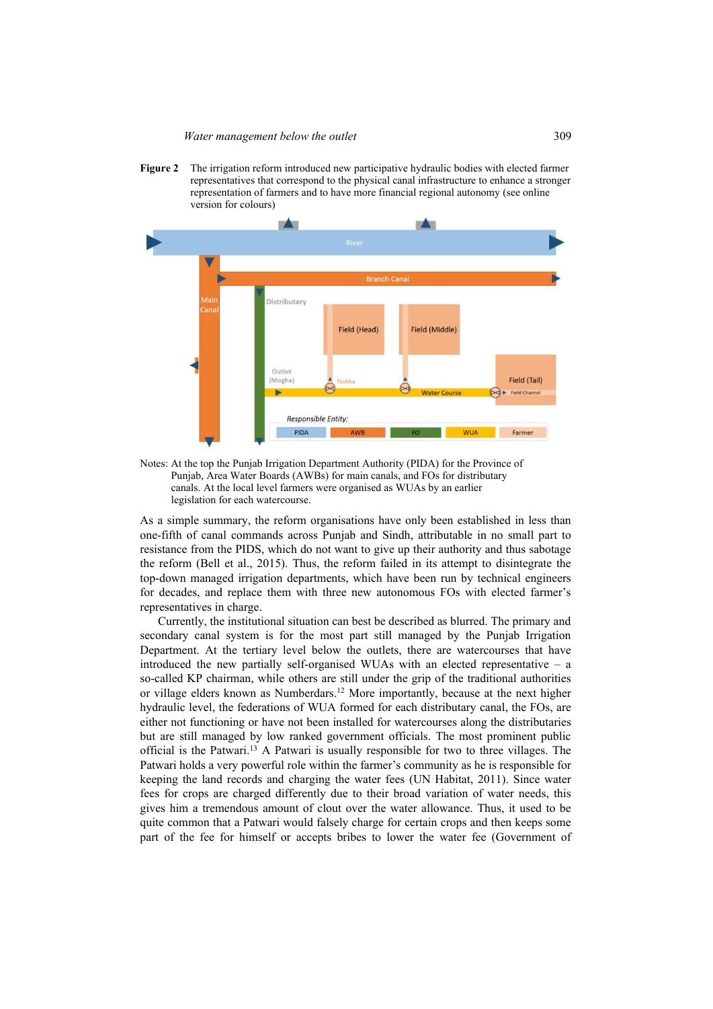**Figure 2** The irrigation reform introduced new participative hydraulic bodies with elected farmer representatives that correspond to the physical canal infrastructure to enhance a stronger representation of farmers and to have more financial regional autonomy (see online version for colours)



Notes: At the top the Punjab Irrigation Department Authority (PIDA) for the Province of Punjab, Area Water Boards (AWBs) for main canals, and FOs for distributary canals. At the local level farmers were organised as WUAs by an earlier legislation for each watercourse.

As a simple summary, the reform organisations have only been established in less than one-fifth of canal commands across Punjab and Sindh, attributable in no small part to resistance from the PIDS, which do not want to give up their authority and thus sabotage the reform (Bell et al., 2015). Thus, the reform failed in its attempt to disintegrate the top-down managed irrigation departments, which have been run by technical engineers for decades, and replace them with three new autonomous FOs with elected farmer's representatives in charge.

Currently, the institutional situation can best be described as blurred. The primary and secondary canal system is for the most part still managed by the Punjab Irrigation Department. At the tertiary level below the outlets, there are watercourses that have introduced the new partially self-organised WUAs with an elected representative – a so-called KP chairman, while others are still under the grip of the traditional authorities or village elders known as Numberdars.12 More importantly, because at the next higher hydraulic level, the federations of WUA formed for each distributary canal, the FOs, are either not functioning or have not been installed for watercourses along the distributaries but are still managed by low ranked government officials. The most prominent public official is the Patwari.13 A Patwari is usually responsible for two to three villages. The Patwari holds a very powerful role within the farmer's community as he is responsible for keeping the land records and charging the water fees (UN Habitat, 2011). Since water fees for crops are charged differently due to their broad variation of water needs, this gives him a tremendous amount of clout over the water allowance. Thus, it used to be quite common that a Patwari would falsely charge for certain crops and then keeps some part of the fee for himself or accepts bribes to lower the water fee (Government of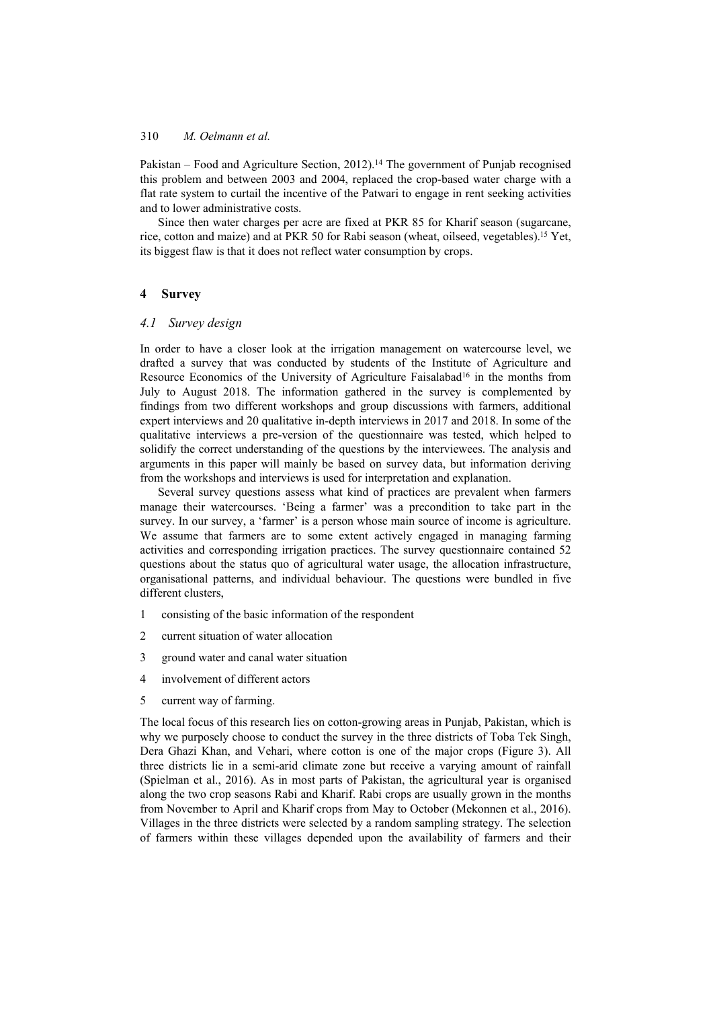Pakistan – Food and Agriculture Section, 2012).<sup>14</sup> The government of Punjab recognised this problem and between 2003 and 2004, replaced the crop-based water charge with a flat rate system to curtail the incentive of the Patwari to engage in rent seeking activities and to lower administrative costs.

Since then water charges per acre are fixed at PKR 85 for Kharif season (sugarcane, rice, cotton and maize) and at PKR 50 for Rabi season (wheat, oilseed, vegetables).15 Yet, its biggest flaw is that it does not reflect water consumption by crops.

# **4 Survey**

# *4.1 Survey design*

In order to have a closer look at the irrigation management on watercourse level, we drafted a survey that was conducted by students of the Institute of Agriculture and Resource Economics of the University of Agriculture Faisalabad<sup>16</sup> in the months from July to August 2018. The information gathered in the survey is complemented by findings from two different workshops and group discussions with farmers, additional expert interviews and 20 qualitative in-depth interviews in 2017 and 2018. In some of the qualitative interviews a pre-version of the questionnaire was tested, which helped to solidify the correct understanding of the questions by the interviewees. The analysis and arguments in this paper will mainly be based on survey data, but information deriving from the workshops and interviews is used for interpretation and explanation.

Several survey questions assess what kind of practices are prevalent when farmers manage their watercourses. 'Being a farmer' was a precondition to take part in the survey. In our survey, a 'farmer' is a person whose main source of income is agriculture. We assume that farmers are to some extent actively engaged in managing farming activities and corresponding irrigation practices. The survey questionnaire contained 52 questions about the status quo of agricultural water usage, the allocation infrastructure, organisational patterns, and individual behaviour. The questions were bundled in five different clusters,

- 1 consisting of the basic information of the respondent
- 2 current situation of water allocation
- 3 ground water and canal water situation
- 4 involvement of different actors
- 5 current way of farming.

The local focus of this research lies on cotton-growing areas in Punjab, Pakistan, which is why we purposely choose to conduct the survey in the three districts of Toba Tek Singh, Dera Ghazi Khan, and Vehari, where cotton is one of the major crops (Figure 3). All three districts lie in a semi-arid climate zone but receive a varying amount of rainfall (Spielman et al., 2016). As in most parts of Pakistan, the agricultural year is organised along the two crop seasons Rabi and Kharif. Rabi crops are usually grown in the months from November to April and Kharif crops from May to October (Mekonnen et al., 2016). Villages in the three districts were selected by a random sampling strategy. The selection of farmers within these villages depended upon the availability of farmers and their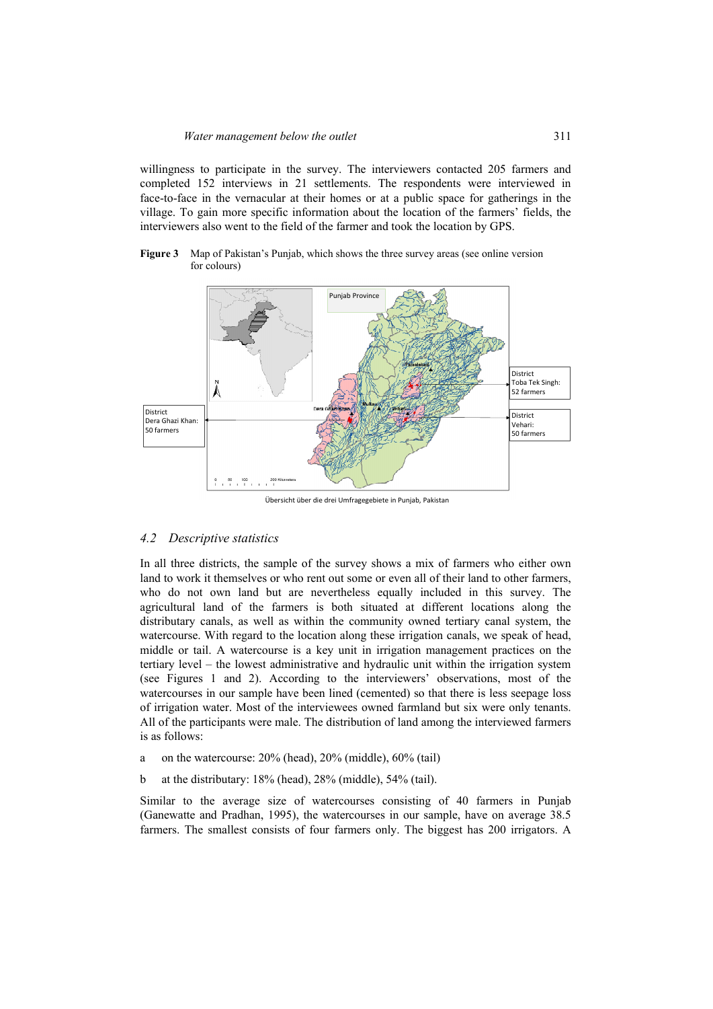willingness to participate in the survey. The interviewers contacted 205 farmers and completed 152 interviews in 21 settlements. The respondents were interviewed in face-to-face in the vernacular at their homes or at a public space for gatherings in the village. To gain more specific information about the location of the farmers' fields, the interviewers also went to the field of the farmer and took the location by GPS.





Übersicht über die drei Umfragegebiete in Punjab, Pakistan

# *4.2 Descriptive statistics*

In all three districts, the sample of the survey shows a mix of farmers who either own land to work it themselves or who rent out some or even all of their land to other farmers, who do not own land but are nevertheless equally included in this survey. The agricultural land of the farmers is both situated at different locations along the distributary canals, as well as within the community owned tertiary canal system, the watercourse. With regard to the location along these irrigation canals, we speak of head, middle or tail. A watercourse is a key unit in irrigation management practices on the tertiary level – the lowest administrative and hydraulic unit within the irrigation system (see Figures 1 and 2). According to the interviewers' observations, most of the watercourses in our sample have been lined (cemented) so that there is less seepage loss of irrigation water. Most of the interviewees owned farmland but six were only tenants. All of the participants were male. The distribution of land among the interviewed farmers is as follows:

- a on the watercourse: 20% (head), 20% (middle), 60% (tail)
- b at the distributary: 18% (head), 28% (middle), 54% (tail).

Similar to the average size of watercourses consisting of 40 farmers in Punjab (Ganewatte and Pradhan, 1995), the watercourses in our sample, have on average 38.5 farmers. The smallest consists of four farmers only. The biggest has 200 irrigators. A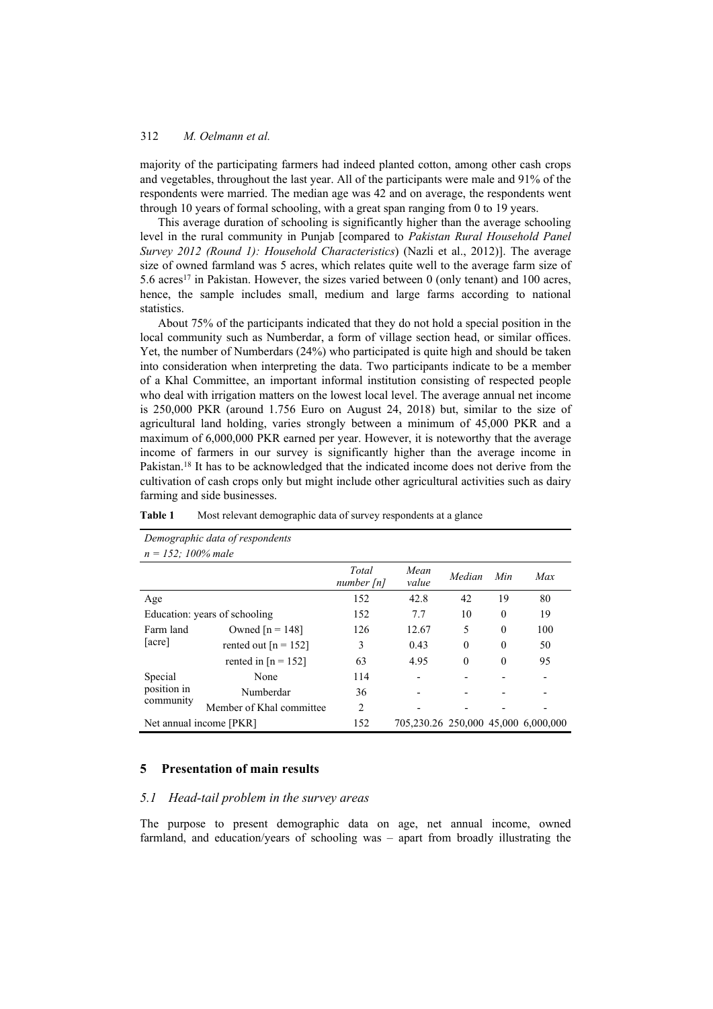majority of the participating farmers had indeed planted cotton, among other cash crops and vegetables, throughout the last year. All of the participants were male and 91% of the respondents were married. The median age was 42 and on average, the respondents went through 10 years of formal schooling, with a great span ranging from 0 to 19 years.

This average duration of schooling is significantly higher than the average schooling level in the rural community in Punjab [compared to *Pakistan Rural Household Panel Survey 2012 (Round 1): Household Characteristics*) (Nazli et al., 2012)]. The average size of owned farmland was 5 acres, which relates quite well to the average farm size of 5.6 acres<sup>17</sup> in Pakistan. However, the sizes varied between 0 (only tenant) and 100 acres, hence, the sample includes small, medium and large farms according to national statistics.

About 75% of the participants indicated that they do not hold a special position in the local community such as Numberdar, a form of village section head, or similar offices. Yet, the number of Numberdars (24%) who participated is quite high and should be taken into consideration when interpreting the data. Two participants indicate to be a member of a Khal Committee, an important informal institution consisting of respected people who deal with irrigation matters on the lowest local level. The average annual net income is 250,000 PKR (around 1.756 Euro on August 24, 2018) but, similar to the size of agricultural land holding, varies strongly between a minimum of 45,000 PKR and a maximum of 6,000,000 PKR earned per year. However, it is noteworthy that the average income of farmers in our survey is significantly higher than the average income in Pakistan.<sup>18</sup> It has to be acknowledged that the indicated income does not derive from the cultivation of cash crops only but might include other agricultural activities such as dairy farming and side businesses.

| $n = 152$ ; 100% male               |                          |                       |                                     |          |          |                          |
|-------------------------------------|--------------------------|-----------------------|-------------------------------------|----------|----------|--------------------------|
|                                     |                          | Total<br>$number$ [n] | Mean<br>value                       | Median   | Min      | Max                      |
| Age                                 |                          | 152                   | 42.8                                | 42       | 19       | 80                       |
| Education: years of schooling       |                          | 152                   | 7.7                                 | 10       | $\theta$ | 19                       |
| Farm land<br>[acre]                 | Owned $[n = 148]$        | 126                   | 12.67                               | 5        | $\theta$ | 100                      |
|                                     | rented out $[n = 152]$   | 3                     | 0.43                                | $\theta$ | $\theta$ | 50                       |
|                                     | rented in $[n = 152]$    | 63                    | 4.95                                | $\theta$ | $\theta$ | 95                       |
| Special<br>position in<br>community | None                     | 114                   | $\overline{a}$                      |          |          |                          |
|                                     | Numberdar                | 36                    | ٠                                   |          |          | $\overline{\phantom{0}}$ |
|                                     | Member of Khal committee | $\overline{2}$        |                                     |          |          |                          |
| Net annual income [PKR]             |                          | 152                   | 705,230.26 250,000 45,000 6,000,000 |          |          |                          |

**Table 1** Most relevant demographic data of survey respondents at a glance

## **5 Presentation of main results**

*Demographic data of respondents* 

### *5.1 Head-tail problem in the survey areas*

The purpose to present demographic data on age, net annual income, owned farmland, and education/years of schooling was – apart from broadly illustrating the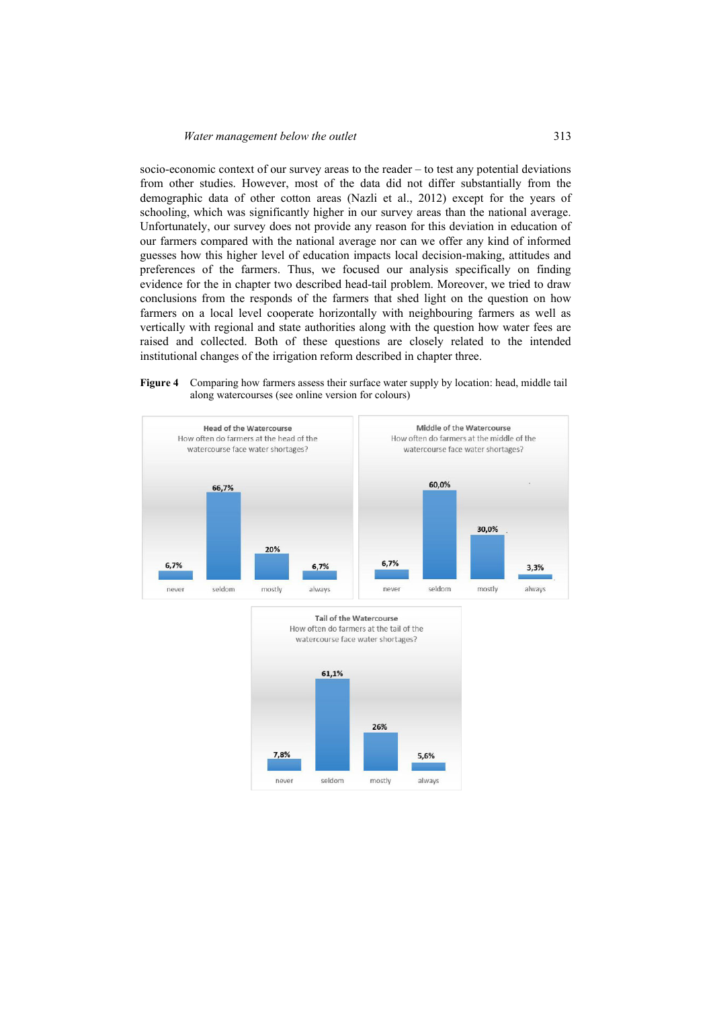socio-economic context of our survey areas to the reader – to test any potential deviations from other studies. However, most of the data did not differ substantially from the demographic data of other cotton areas (Nazli et al., 2012) except for the years of schooling, which was significantly higher in our survey areas than the national average. Unfortunately, our survey does not provide any reason for this deviation in education of our farmers compared with the national average nor can we offer any kind of informed guesses how this higher level of education impacts local decision-making, attitudes and preferences of the farmers. Thus, we focused our analysis specifically on finding evidence for the in chapter two described head-tail problem. Moreover, we tried to draw conclusions from the responds of the farmers that shed light on the question on how farmers on a local level cooperate horizontally with neighbouring farmers as well as vertically with regional and state authorities along with the question how water fees are raised and collected. Both of these questions are closely related to the intended institutional changes of the irrigation reform described in chapter three.

**Figure 4** Comparing how farmers assess their surface water supply by location: head, middle tail along watercourses (see online version for colours)



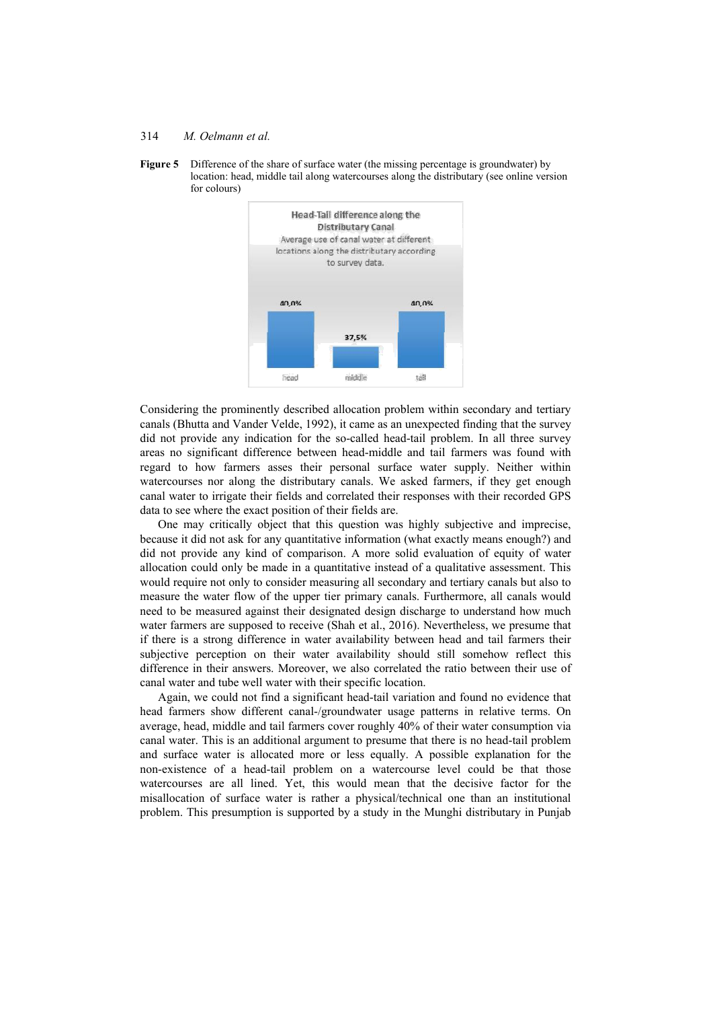#### 314 *M. Oelmann et al.*

**Figure 5** Difference of the share of surface water (the missing percentage is groundwater) by location: head, middle tail along watercourses along the distributary (see online version for colours)



Considering the prominently described allocation problem within secondary and tertiary canals (Bhutta and Vander Velde, 1992), it came as an unexpected finding that the survey did not provide any indication for the so-called head-tail problem. In all three survey areas no significant difference between head-middle and tail farmers was found with regard to how farmers asses their personal surface water supply. Neither within watercourses nor along the distributary canals. We asked farmers, if they get enough canal water to irrigate their fields and correlated their responses with their recorded GPS data to see where the exact position of their fields are.

One may critically object that this question was highly subjective and imprecise, because it did not ask for any quantitative information (what exactly means enough?) and did not provide any kind of comparison. A more solid evaluation of equity of water allocation could only be made in a quantitative instead of a qualitative assessment. This would require not only to consider measuring all secondary and tertiary canals but also to measure the water flow of the upper tier primary canals. Furthermore, all canals would need to be measured against their designated design discharge to understand how much water farmers are supposed to receive (Shah et al., 2016). Nevertheless, we presume that if there is a strong difference in water availability between head and tail farmers their subjective perception on their water availability should still somehow reflect this difference in their answers. Moreover, we also correlated the ratio between their use of canal water and tube well water with their specific location.

Again, we could not find a significant head-tail variation and found no evidence that head farmers show different canal-/groundwater usage patterns in relative terms. On average, head, middle and tail farmers cover roughly 40% of their water consumption via canal water. This is an additional argument to presume that there is no head-tail problem and surface water is allocated more or less equally. A possible explanation for the non-existence of a head-tail problem on a watercourse level could be that those watercourses are all lined. Yet, this would mean that the decisive factor for the misallocation of surface water is rather a physical/technical one than an institutional problem. This presumption is supported by a study in the Munghi distributary in Punjab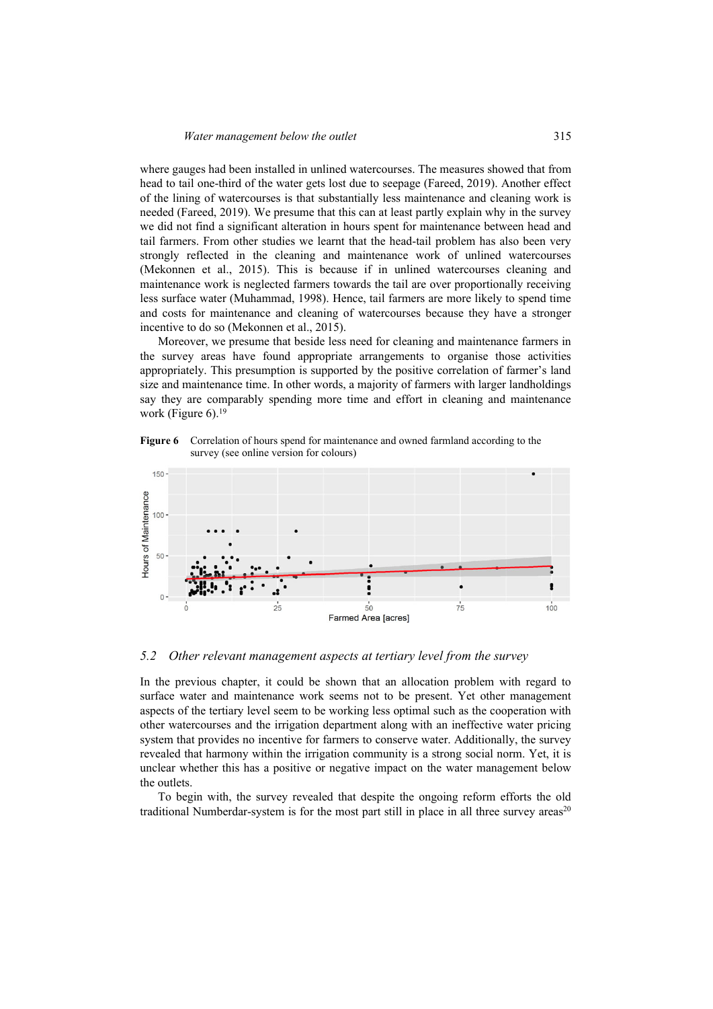where gauges had been installed in unlined watercourses. The measures showed that from head to tail one-third of the water gets lost due to seepage (Fareed, 2019). Another effect of the lining of watercourses is that substantially less maintenance and cleaning work is needed (Fareed, 2019). We presume that this can at least partly explain why in the survey we did not find a significant alteration in hours spent for maintenance between head and tail farmers. From other studies we learnt that the head-tail problem has also been very strongly reflected in the cleaning and maintenance work of unlined watercourses (Mekonnen et al., 2015). This is because if in unlined watercourses cleaning and maintenance work is neglected farmers towards the tail are over proportionally receiving less surface water (Muhammad, 1998). Hence, tail farmers are more likely to spend time and costs for maintenance and cleaning of watercourses because they have a stronger incentive to do so (Mekonnen et al., 2015).

Moreover, we presume that beside less need for cleaning and maintenance farmers in the survey areas have found appropriate arrangements to organise those activities appropriately. This presumption is supported by the positive correlation of farmer's land size and maintenance time. In other words, a majority of farmers with larger landholdings say they are comparably spending more time and effort in cleaning and maintenance work (Figure 6).<sup>19</sup>

**Figure 6** Correlation of hours spend for maintenance and owned farmland according to the survey (see online version for colours)



### *5.2 Other relevant management aspects at tertiary level from the survey*

In the previous chapter, it could be shown that an allocation problem with regard to surface water and maintenance work seems not to be present. Yet other management aspects of the tertiary level seem to be working less optimal such as the cooperation with other watercourses and the irrigation department along with an ineffective water pricing system that provides no incentive for farmers to conserve water. Additionally, the survey revealed that harmony within the irrigation community is a strong social norm. Yet, it is unclear whether this has a positive or negative impact on the water management below the outlets.

To begin with, the survey revealed that despite the ongoing reform efforts the old traditional Numberdar-system is for the most part still in place in all three survey areas<sup>20</sup>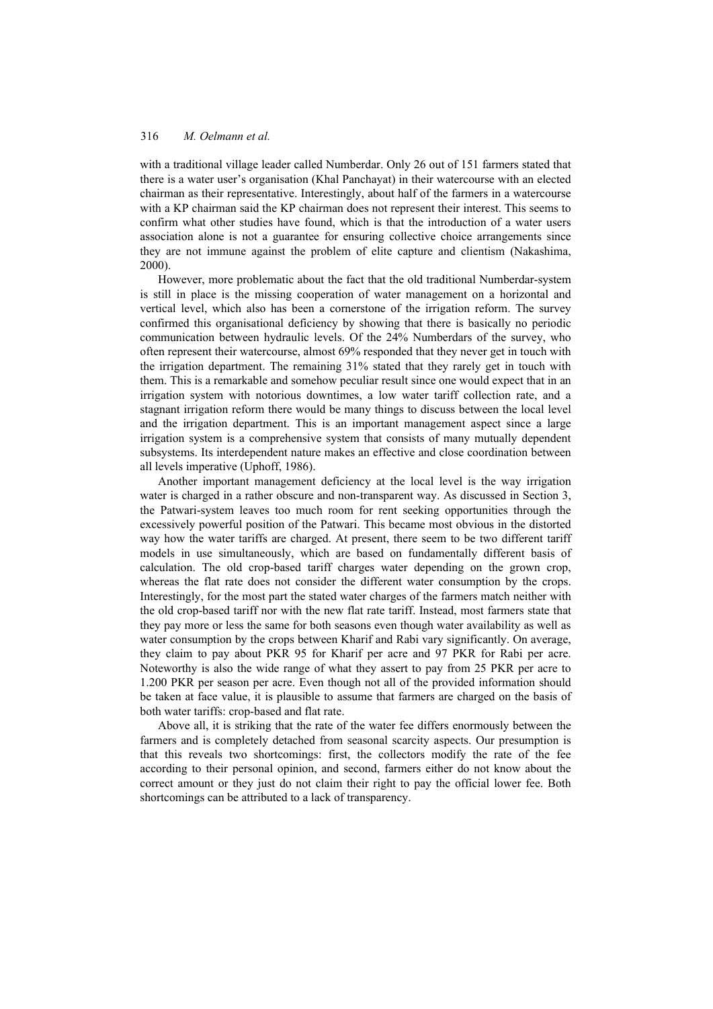with a traditional village leader called Numberdar. Only 26 out of 151 farmers stated that there is a water user's organisation (Khal Panchayat) in their watercourse with an elected chairman as their representative. Interestingly, about half of the farmers in a watercourse with a KP chairman said the KP chairman does not represent their interest. This seems to confirm what other studies have found, which is that the introduction of a water users association alone is not a guarantee for ensuring collective choice arrangements since they are not immune against the problem of elite capture and clientism (Nakashima, 2000).

However, more problematic about the fact that the old traditional Numberdar-system is still in place is the missing cooperation of water management on a horizontal and vertical level, which also has been a cornerstone of the irrigation reform. The survey confirmed this organisational deficiency by showing that there is basically no periodic communication between hydraulic levels. Of the 24% Numberdars of the survey, who often represent their watercourse, almost 69% responded that they never get in touch with the irrigation department. The remaining 31% stated that they rarely get in touch with them. This is a remarkable and somehow peculiar result since one would expect that in an irrigation system with notorious downtimes, a low water tariff collection rate, and a stagnant irrigation reform there would be many things to discuss between the local level and the irrigation department. This is an important management aspect since a large irrigation system is a comprehensive system that consists of many mutually dependent subsystems. Its interdependent nature makes an effective and close coordination between all levels imperative (Uphoff, 1986).

Another important management deficiency at the local level is the way irrigation water is charged in a rather obscure and non-transparent way. As discussed in Section 3, the Patwari-system leaves too much room for rent seeking opportunities through the excessively powerful position of the Patwari. This became most obvious in the distorted way how the water tariffs are charged. At present, there seem to be two different tariff models in use simultaneously, which are based on fundamentally different basis of calculation. The old crop-based tariff charges water depending on the grown crop, whereas the flat rate does not consider the different water consumption by the crops. Interestingly, for the most part the stated water charges of the farmers match neither with the old crop-based tariff nor with the new flat rate tariff. Instead, most farmers state that they pay more or less the same for both seasons even though water availability as well as water consumption by the crops between Kharif and Rabi vary significantly. On average, they claim to pay about PKR 95 for Kharif per acre and 97 PKR for Rabi per acre. Noteworthy is also the wide range of what they assert to pay from 25 PKR per acre to 1.200 PKR per season per acre. Even though not all of the provided information should be taken at face value, it is plausible to assume that farmers are charged on the basis of both water tariffs: crop-based and flat rate.

Above all, it is striking that the rate of the water fee differs enormously between the farmers and is completely detached from seasonal scarcity aspects. Our presumption is that this reveals two shortcomings: first, the collectors modify the rate of the fee according to their personal opinion, and second, farmers either do not know about the correct amount or they just do not claim their right to pay the official lower fee. Both shortcomings can be attributed to a lack of transparency.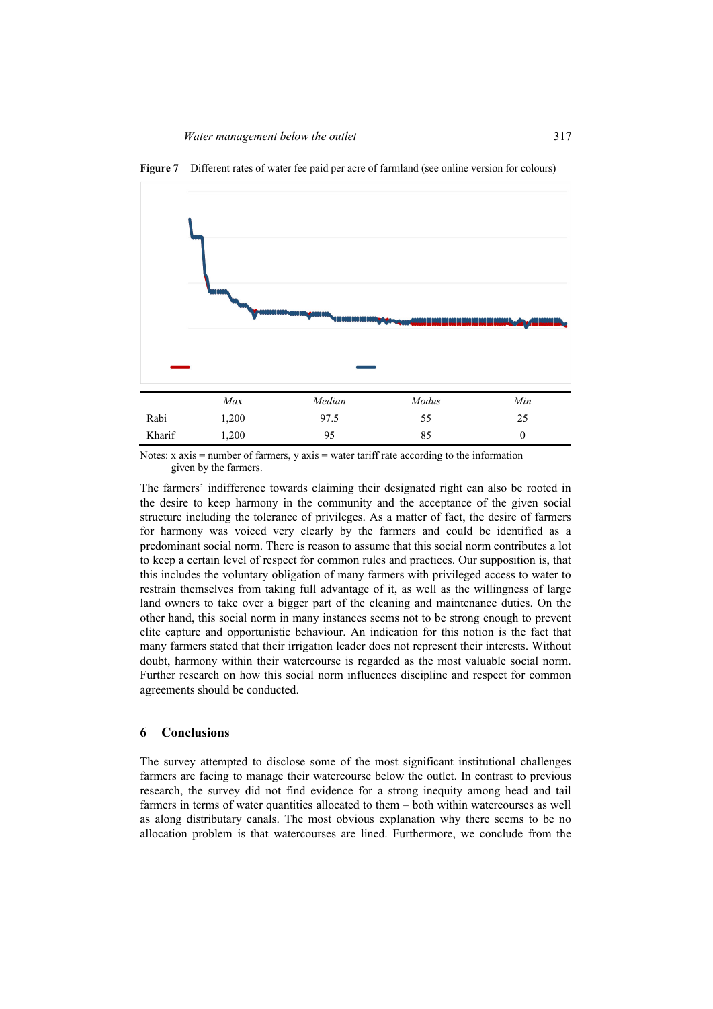

**Figure 7** Different rates of water fee paid per acre of farmland (see online version for colours)

Notes:  $x \text{ axis} =$  number of farmers,  $y \text{ axis} =$  water tariff rate according to the information given by the farmers.

The farmers' indifference towards claiming their designated right can also be rooted in the desire to keep harmony in the community and the acceptance of the given social structure including the tolerance of privileges. As a matter of fact, the desire of farmers for harmony was voiced very clearly by the farmers and could be identified as a predominant social norm. There is reason to assume that this social norm contributes a lot to keep a certain level of respect for common rules and practices. Our supposition is, that this includes the voluntary obligation of many farmers with privileged access to water to restrain themselves from taking full advantage of it, as well as the willingness of large land owners to take over a bigger part of the cleaning and maintenance duties. On the other hand, this social norm in many instances seems not to be strong enough to prevent elite capture and opportunistic behaviour. An indication for this notion is the fact that many farmers stated that their irrigation leader does not represent their interests. Without doubt, harmony within their watercourse is regarded as the most valuable social norm. Further research on how this social norm influences discipline and respect for common agreements should be conducted.

# **6 Conclusions**

The survey attempted to disclose some of the most significant institutional challenges farmers are facing to manage their watercourse below the outlet. In contrast to previous research, the survey did not find evidence for a strong inequity among head and tail farmers in terms of water quantities allocated to them – both within watercourses as well as along distributary canals. The most obvious explanation why there seems to be no allocation problem is that watercourses are lined. Furthermore, we conclude from the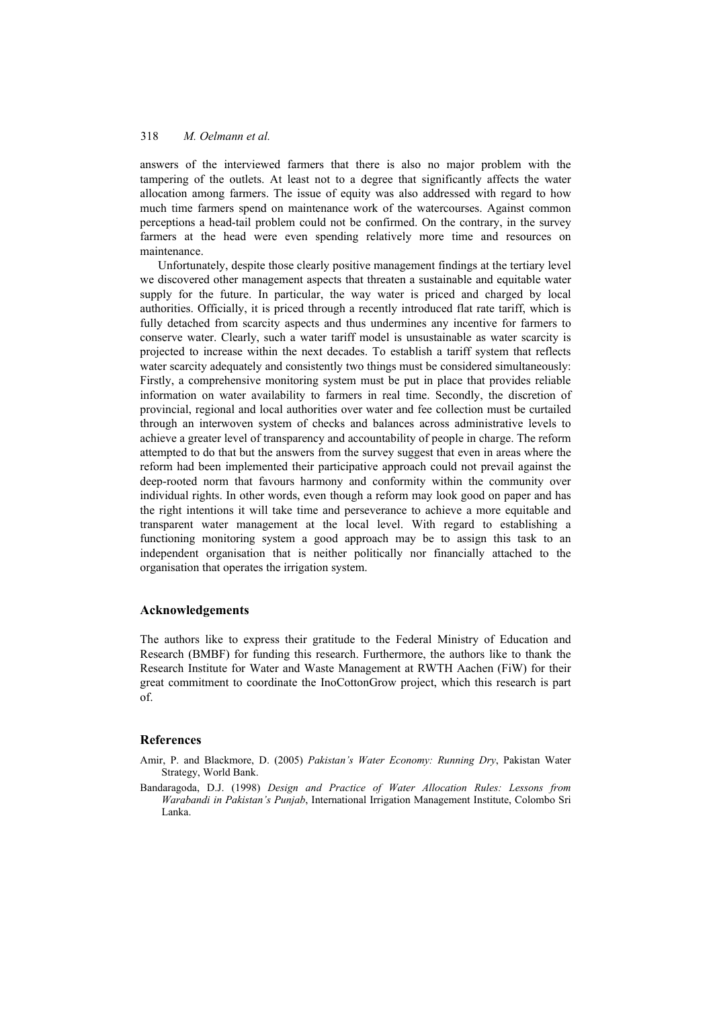answers of the interviewed farmers that there is also no major problem with the tampering of the outlets. At least not to a degree that significantly affects the water allocation among farmers. The issue of equity was also addressed with regard to how much time farmers spend on maintenance work of the watercourses. Against common perceptions a head-tail problem could not be confirmed. On the contrary, in the survey farmers at the head were even spending relatively more time and resources on maintenance.

Unfortunately, despite those clearly positive management findings at the tertiary level we discovered other management aspects that threaten a sustainable and equitable water supply for the future. In particular, the way water is priced and charged by local authorities. Officially, it is priced through a recently introduced flat rate tariff, which is fully detached from scarcity aspects and thus undermines any incentive for farmers to conserve water. Clearly, such a water tariff model is unsustainable as water scarcity is projected to increase within the next decades. To establish a tariff system that reflects water scarcity adequately and consistently two things must be considered simultaneously: Firstly, a comprehensive monitoring system must be put in place that provides reliable information on water availability to farmers in real time. Secondly, the discretion of provincial, regional and local authorities over water and fee collection must be curtailed through an interwoven system of checks and balances across administrative levels to achieve a greater level of transparency and accountability of people in charge. The reform attempted to do that but the answers from the survey suggest that even in areas where the reform had been implemented their participative approach could not prevail against the deep-rooted norm that favours harmony and conformity within the community over individual rights. In other words, even though a reform may look good on paper and has the right intentions it will take time and perseverance to achieve a more equitable and transparent water management at the local level. With regard to establishing a functioning monitoring system a good approach may be to assign this task to an independent organisation that is neither politically nor financially attached to the organisation that operates the irrigation system.

# **Acknowledgements**

The authors like to express their gratitude to the Federal Ministry of Education and Research (BMBF) for funding this research. Furthermore, the authors like to thank the Research Institute for Water and Waste Management at RWTH Aachen (FiW) for their great commitment to coordinate the InoCottonGrow project, which this research is part of.

# **References**

- Amir, P. and Blackmore, D. (2005) *Pakistan's Water Economy: Running Dry*, Pakistan Water Strategy, World Bank.
- Bandaragoda, D.J. (1998) *Design and Practice of Water Allocation Rules: Lessons from Warabandi in Pakistan's Punjab*, International Irrigation Management Institute, Colombo Sri Lanka.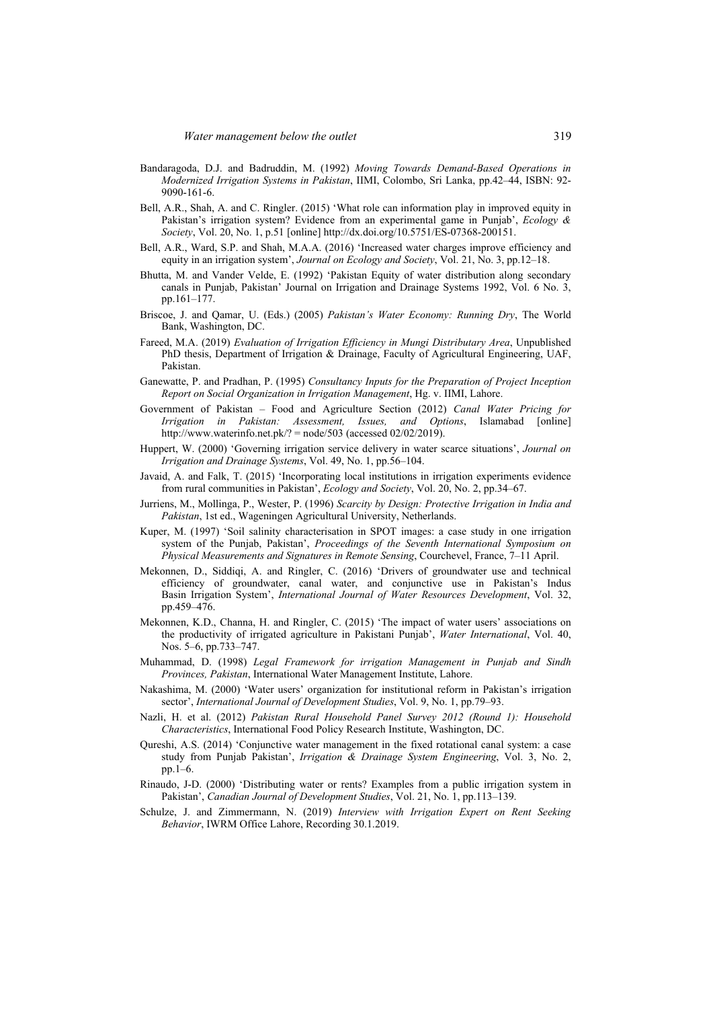- Bandaragoda, D.J. and Badruddin, M. (1992) *Moving Towards Demand-Based Operations in Modernized Irrigation Systems in Pakistan*, IIMI, Colombo, Sri Lanka, pp.42–44, ISBN: 92- 9090-161-6.
- Bell, A.R., Shah, A. and C. Ringler. (2015) 'What role can information play in improved equity in Pakistan's irrigation system? Evidence from an experimental game in Punjab', *Ecology & Society*, Vol. 20, No. 1, p.51 [online] http://dx.doi.org/10.5751/ES-07368-200151.
- Bell, A.R., Ward, S.P. and Shah, M.A.A. (2016) 'Increased water charges improve efficiency and equity in an irrigation system', *Journal on Ecology and Society*, Vol. 21, No. 3, pp.12–18.
- Bhutta, M. and Vander Velde, E. (1992) 'Pakistan Equity of water distribution along secondary canals in Punjab, Pakistan' Journal on Irrigation and Drainage Systems 1992, Vol. 6 No. 3, pp.161–177.
- Briscoe, J. and Qamar, U. (Eds.) (2005) *Pakistan's Water Economy: Running Dry*, The World Bank, Washington, DC.
- Fareed, M.A. (2019) *Evaluation of Irrigation Efficiency in Mungi Distributary Area*, Unpublished PhD thesis, Department of Irrigation & Drainage, Faculty of Agricultural Engineering, UAF, Pakistan.
- Ganewatte, P. and Pradhan, P. (1995) *Consultancy Inputs for the Preparation of Project Inception Report on Social Organization in Irrigation Management*, Hg. v. IIMI, Lahore.
- Government of Pakistan Food and Agriculture Section (2012) *Canal Water Pricing for Irrigation in Pakistan: Assessment, Issues, and Options*, Islamabad [online] http://www.waterinfo.net.pk/? = node/503 (accessed  $02/02/2019$ ).
- Huppert, W. (2000) 'Governing irrigation service delivery in water scarce situations', *Journal on Irrigation and Drainage Systems*, Vol. 49, No. 1, pp.56–104.
- Javaid, A. and Falk, T. (2015) 'Incorporating local institutions in irrigation experiments evidence from rural communities in Pakistan', *Ecology and Society*, Vol. 20, No. 2, pp.34–67.
- Jurriens, M., Mollinga, P., Wester, P. (1996) *Scarcity by Design: Protective Irrigation in India and Pakistan*, 1st ed., Wageningen Agricultural University, Netherlands.
- Kuper, M. (1997) 'Soil salinity characterisation in SPOT images: a case study in one irrigation system of the Punjab, Pakistan', *Proceedings of the Seventh International Symposium on Physical Measurements and Signatures in Remote Sensing*, Courchevel, France, 7–11 April.
- Mekonnen, D., Siddiqi, A. and Ringler, C. (2016) 'Drivers of groundwater use and technical efficiency of groundwater, canal water, and conjunctive use in Pakistan's Indus Basin Irrigation System', *International Journal of Water Resources Development*, Vol. 32, pp.459–476.
- Mekonnen, K.D., Channa, H. and Ringler, C. (2015) 'The impact of water users' associations on the productivity of irrigated agriculture in Pakistani Punjab', *Water International*, Vol. 40, Nos. 5–6, pp.733–747.
- Muhammad, D. (1998) *Legal Framework for irrigation Management in Punjab and Sindh Provinces, Pakistan*, International Water Management Institute, Lahore.
- Nakashima, M. (2000) 'Water users' organization for institutional reform in Pakistan's irrigation sector', *International Journal of Development Studies*, Vol. 9, No. 1, pp.79–93.
- Nazli, H. et al. (2012) *Pakistan Rural Household Panel Survey 2012 (Round 1): Household Characteristics*, International Food Policy Research Institute, Washington, DC.
- Qureshi, A.S. (2014) 'Conjunctive water management in the fixed rotational canal system: a case study from Punjab Pakistan', *Irrigation & Drainage System Engineering*, Vol. 3, No. 2, pp.1–6.
- Rinaudo, J-D. (2000) 'Distributing water or rents? Examples from a public irrigation system in Pakistan', *Canadian Journal of Development Studies*, Vol. 21, No. 1, pp.113–139.
- Schulze, J. and Zimmermann, N. (2019) *Interview with Irrigation Expert on Rent Seeking Behavior*, IWRM Office Lahore, Recording 30.1.2019.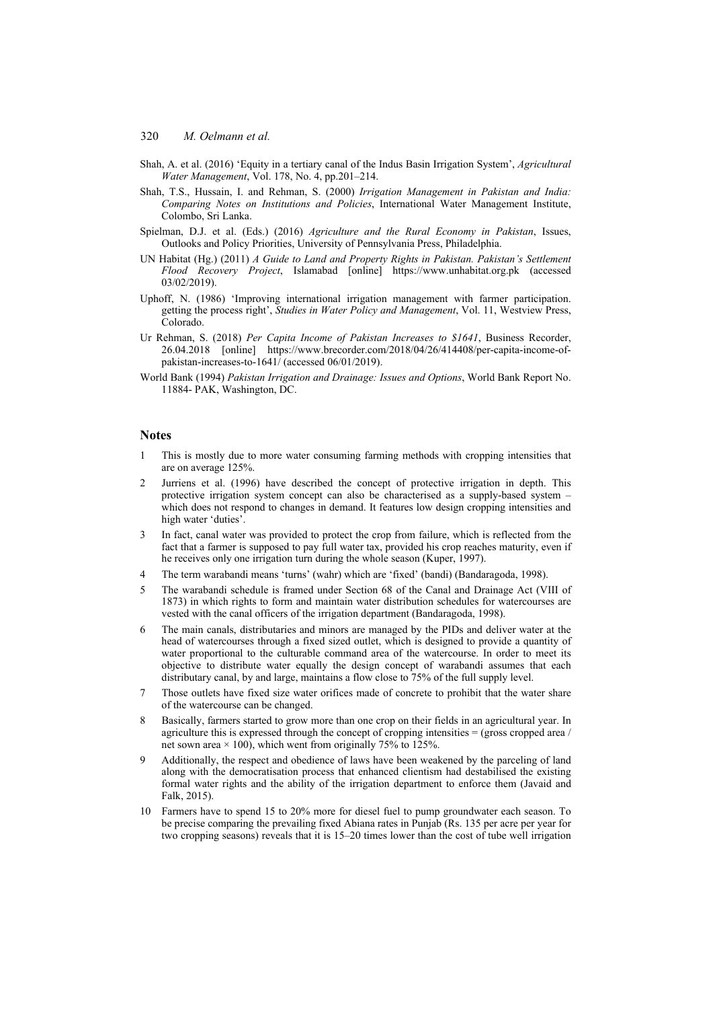- Shah, A. et al. (2016) 'Equity in a tertiary canal of the Indus Basin Irrigation System', *Agricultural Water Management*, Vol. 178, No. 4, pp.201–214.
- Shah, T.S., Hussain, I. and Rehman, S. (2000) *Irrigation Management in Pakistan and India: Comparing Notes on Institutions and Policies*, International Water Management Institute, Colombo, Sri Lanka.
- Spielman, D.J. et al. (Eds.) (2016) *Agriculture and the Rural Economy in Pakistan*, Issues, Outlooks and Policy Priorities, University of Pennsylvania Press, Philadelphia.
- UN Habitat (Hg.) (2011) *A Guide to Land and Property Rights in Pakistan. Pakistan's Settlement Flood Recovery Project*, Islamabad [online] https://www.unhabitat.org.pk (accessed 03/02/2019).
- Uphoff, N. (1986) 'Improving international irrigation management with farmer participation. getting the process right', *Studies in Water Policy and Management*, Vol. 11, Westview Press, Colorado.
- Ur Rehman, S. (2018) *Per Capita Income of Pakistan Increases to \$1641*, Business Recorder, 26.04.2018 [online] https://www.brecorder.com/2018/04/26/414408/per-capita-income-ofpakistan-increases-to-1641/ (accessed 06/01/2019).
- World Bank (1994) *Pakistan Irrigation and Drainage: Issues and Options*, World Bank Report No. 11884- PAK, Washington, DC.

### **Notes**

- 1 This is mostly due to more water consuming farming methods with cropping intensities that are on average 125%.
- 2 Jurriens et al. (1996) have described the concept of protective irrigation in depth. This protective irrigation system concept can also be characterised as a supply-based system – which does not respond to changes in demand. It features low design cropping intensities and high water 'duties'.
- 3 In fact, canal water was provided to protect the crop from failure, which is reflected from the fact that a farmer is supposed to pay full water tax, provided his crop reaches maturity, even if he receives only one irrigation turn during the whole season (Kuper, 1997).
- 4 The term warabandi means 'turns' (wahr) which are 'fixed' (bandi) (Bandaragoda, 1998).
- 5 The warabandi schedule is framed under Section 68 of the Canal and Drainage Act (VIII of 1873) in which rights to form and maintain water distribution schedules for watercourses are vested with the canal officers of the irrigation department (Bandaragoda, 1998).
- 6 The main canals, distributaries and minors are managed by the PIDs and deliver water at the head of watercourses through a fixed sized outlet, which is designed to provide a quantity of water proportional to the culturable command area of the watercourse. In order to meet its objective to distribute water equally the design concept of warabandi assumes that each distributary canal, by and large, maintains a flow close to 75% of the full supply level.
- 7 Those outlets have fixed size water orifices made of concrete to prohibit that the water share of the watercourse can be changed.
- 8 Basically, farmers started to grow more than one crop on their fields in an agricultural year. In agriculture this is expressed through the concept of cropping intensities  $=$  (gross cropped area  $/$ net sown area  $\times$  100), which went from originally 75% to 125%.
- 9 Additionally, the respect and obedience of laws have been weakened by the parceling of land along with the democratisation process that enhanced clientism had destabilised the existing formal water rights and the ability of the irrigation department to enforce them (Javaid and Falk, 2015).
- 10 Farmers have to spend 15 to 20% more for diesel fuel to pump groundwater each season. To be precise comparing the prevailing fixed Abiana rates in Punjab (Rs. 135 per acre per year for two cropping seasons) reveals that it is 15–20 times lower than the cost of tube well irrigation